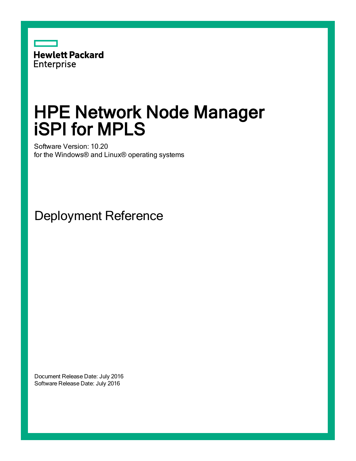

# HPE Network Node Manager iSPI for MPLS

Software Version: 10.20 for the Windows® and Linux® operating systems

Deployment Reference

Document Release Date: July 2016 Software Release Date: July 2016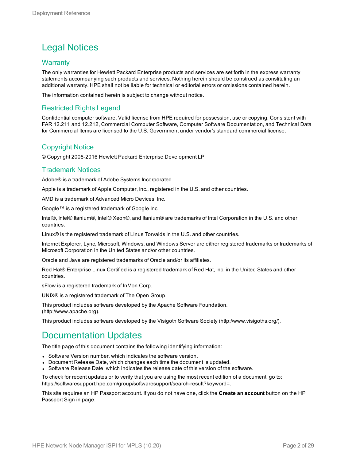#### Legal Notices

#### **Warranty**

The only warranties for Hewlett Packard Enterprise products and services are set forth in the express warranty statements accompanying such products and services. Nothing herein should be construed as constituting an additional warranty. HPE shall not be liable for technical or editorial errors or omissions contained herein.

The information contained herein is subject to change without notice.

#### Restricted Rights Legend

Confidential computer software. Valid license from HPE required for possession, use or copying. Consistent with FAR 12.211 and 12.212, Commercial Computer Software, Computer Software Documentation, and Technical Data for Commercial Items are licensed to the U.S. Government under vendor's standard commercial license.

#### Copyright Notice

© Copyright 2008-2016 Hewlett Packard Enterprise Development LP

#### Trademark Notices

Adobe® is a trademark of Adobe Systems Incorporated.

Apple is a trademark of Apple Computer, Inc., registered in the U.S. and other countries.

AMD is a trademark of Advanced Micro Devices, Inc.

Google™ is a registered trademark of Google Inc.

Intel®, Intel® Itanium®, Intel® Xeon®, and Itanium® are trademarks of Intel Corporation in the U.S. and other countries.

Linux® is the registered trademark of Linus Torvalds in the U.S. and other countries.

Internet Explorer, Lync, Microsoft, Windows, and Windows Server are either registered trademarks or trademarks of Microsoft Corporation in the United States and/or other countries.

Oracle and Java are registered trademarks of Oracle and/or its affiliates.

Red Hat® Enterprise Linux Certified is a registered trademark of Red Hat, Inc. in the United States and other countries.

sFlow is a registered trademark of InMon Corp.

UNIX® is a registered trademark of The Open Group.

This product includes software developed by the Apache Software Foundation. (http://www.apache.org).

This product includes software developed by the Visigoth Software Society (http://www.visigoths.org/).

#### Documentation Updates

The title page of this document contains the following identifying information:

- Software Version number, which indicates the software version.
- Document Release Date, which changes each time the document is updated.
- <sup>l</sup> Software Release Date, which indicates the release date of this version of the software.

To check for recent updates or to verify that you are using the most recent edition of a document, go to: https://softwaresupport.hpe.com/group/softwaresupport/search-result?keyword=.

This site requires an HP Passport account. If you do not have one, click the **Create an account** button on the HP Passport Sign in page.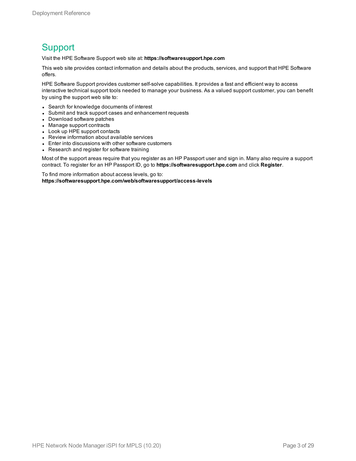#### **Support**

Visit the HPE Software Support web site at: **https://softwaresupport.hpe.com**

This web site provides contact information and details about the products, services, and support that HPE Software offers.

HPE Software Support provides customer self-solve capabilities. It provides a fast and efficient way to access interactive technical support tools needed to manage your business. As a valued support customer, you can benefit by using the support web site to:

- Search for knowledge documents of interest
- Submit and track support cases and enhancement requests
- Download software patches
- Manage support contracts
- Look up HPE support contacts
- Review information about available services
- Enter into discussions with other software customers
- Research and register for software training

Most of the support areas require that you register as an HP Passport user and sign in. Many also require a support contract. To register for an HP Passport ID, go to **https://softwaresupport.hpe.com** and click **Register**.

To find more information about access levels, go to: **https://softwaresupport.hpe.com/web/softwaresupport/access-levels**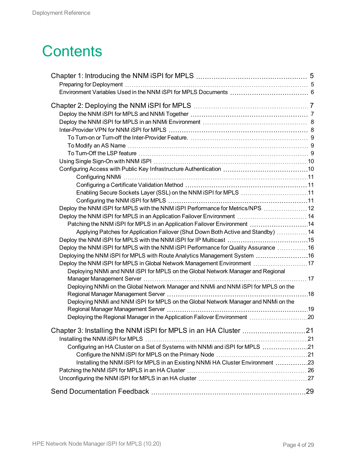# **Contents**

| Enabling Secure Sockets Layer (SSL) on the NNM iSPI for MPLS 11                      |     |
|--------------------------------------------------------------------------------------|-----|
|                                                                                      |     |
| Deploy the NNM iSPI for MPLS with the NNM iSPI Performance for Metrics/NPS  12       |     |
| Deploy the NNM iSPI for MPLS in an Application Failover Environment  14              |     |
| Patching the NNM iSPI for MPLS in an Application Failover Environment 14             |     |
| Applying Patches for Application Failover (Shut Down Both Active and Standby)  14    |     |
|                                                                                      |     |
| Deploy the NNM iSPI for MPLS with the NNM iSPI Performance for Quality Assurance  16 |     |
| Deploying the NNM iSPI for MPLS with Route Analytics Management System 16            |     |
| Deploy the NNM iSPI for MPLS in Global Network Management Environment 17             |     |
| Deploying NNMi and NNM iSPI for MPLS on the Global Network Manager and Regional      |     |
| Deploying NNMi on the Global Network Manager and NNMi and NNM iSPI for MPLS on the   |     |
|                                                                                      |     |
| Deploying NNMi and NNM iSPI for MPLS on the Global Network Manager and NNMi on the   |     |
|                                                                                      |     |
| Deploying the Regional Manager in the Application Failover Environment 20            |     |
|                                                                                      |     |
| Chapter 3: Installing the NNM iSPI for MPLS in an HA Cluster                         | .21 |
|                                                                                      |     |
| Configuring an HA Cluster on a Set of Systems with NNMi and iSPI for MPLS 21         |     |
|                                                                                      |     |
| Installing the NNM iSPI for MPLS in an Existing NNMi HA Cluster Environment 23       |     |
|                                                                                      |     |
|                                                                                      |     |
|                                                                                      |     |
|                                                                                      |     |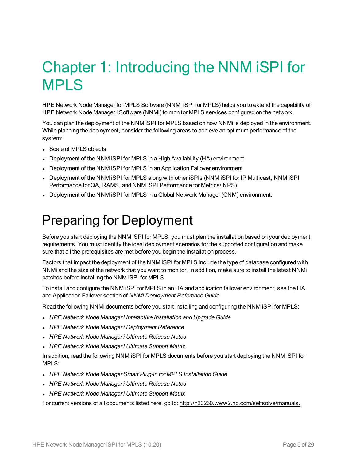# <span id="page-4-0"></span>Chapter 1: Introducing the NNM iSPI for MPLS

HPE Network Node Manager for MPLS Software (NNMi iSPI for MPLS) helps you to extend the capability of HPE Network Node Manager i Software (NNMi) to monitor MPLS services configured on the network.

You can plan the deployment of the NNM iSPI for MPLS based on how NNMi is deployed in the environment. While planning the deployment, consider the following areas to achieve an optimum performance of the system:

- Scale of MPLS objects
- Deployment of the NNM iSPI for MPLS in a High Availability (HA) environment.
- Deployment of the NNM iSPI for MPLS in an Application Failover environment
- <sup>l</sup> Deployment of the NNM iSPI for MPLS along with other iSPIs (NNM iSPI for IP Multicast, NNM iSPI Performance for QA, RAMS, and NNM iSPI Performance for Metrics/ NPS).
- <span id="page-4-1"></span>• Deployment of the NNM iSPI for MPLS in a Global Network Manager (GNM) environment.

### Preparing for Deployment

Before you start deploying the NNM iSPI for MPLS, you must plan the installation based on your deployment requirements. You must identify the ideal deployment scenarios for the supported configuration and make sure that all the prerequisites are met before you begin the installation process.

Factors that impact the deployment of the NNM iSPI for MPLS include the type of database configured with NNMi and the size of the network that you want to monitor. In addition, make sure to install the latest NNMi patches before installing the NNM iSPI for MPLS.

To install and configure the NNM iSPI for MPLS in an HA and application failover environment, see the HA and Application Failover section of *NNMi Deployment Reference Guide*.

Read the following NNMi documents before you start installing and configuring the NNM iSPI for MPLS:

- <sup>l</sup> *HPE Network Node Manager i Interactive Installation and Upgrade Guide*
- <sup>l</sup> *HPE Network Node Manager i Deployment Reference*
- <sup>l</sup> *HPE Network Node Manager i Ultimate Release Notes*
- <sup>l</sup> *HPE Network Node Manager i Ultimate Support Matrix*

In addition, read the following NNM iSPI for MPLS documents before you start deploying the NNM iSPI for MPLS:

- <sup>l</sup> *HPE Network Node Manager Smart Plug-in for MPLS Installation Guide*
- <sup>l</sup> *HPE Network Node Manager i Ultimate Release Notes*
- <sup>l</sup> *HPE Network Node Manager i Ultimate Support Matrix*

For current versions of all documents listed here, go to: http://h20230.www2.hp.com/selfsolve/manuals.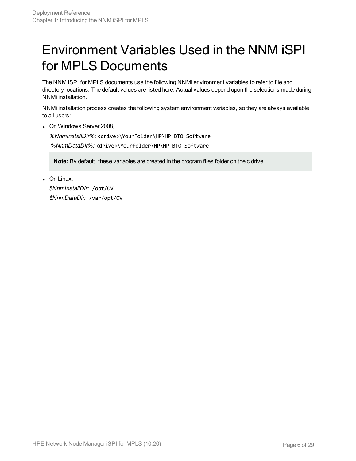## <span id="page-5-0"></span>Environment Variables Used in the NNM iSPI for MPLS Documents

The NNM iSPI for MPLS documents use the following NNMi environment variables to refer to file and directory locations. The default values are listed here. Actual values depend upon the selections made during NNMi installation.

NNMi installation process creates the following system environment variables, so they are always available to all users:

• On Windows Server 2008.

*%NnmInstallDir%*: <drive>\YourFolder\HP\HP BTO Software *%NnmDataDir%:* <drive>\Yourfolder\HP\HP BTO Software

**Note:** By default, these variables are created in the program files folder on the c drive.

 $\bullet$  On Linux, *\$NnmInstallDir:* /opt/OV *\$NnmDataDir:* /var/opt/OV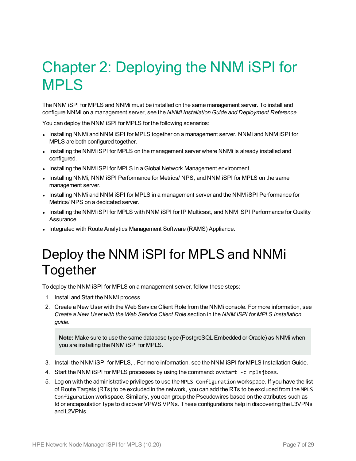# <span id="page-6-0"></span>Chapter 2: Deploying the NNM iSPI for MPLS

The NNM iSPI for MPLS and NNMi must be installed on the same management server. To install and configure NNMi on a management server, see the *NNMi Installation Guide and Deployment Reference.*

You can deploy the NNM iSPI for MPLS for the following scenarios:

- Installing NNMi and NNM iSPI for MPLS together on a management server. NNMi and NNM iSPI for MPLS are both configured together.
- Installing the NNM iSPI for MPLS on the management server where NNMi is already installed and configured.
- Installing the NNM iSPI for MPLS in a Global Network Management environment.
- Installing NNMi, NNM iSPI Performance for Metrics/ NPS, and NNM iSPI for MPLS on the same management server.
- Installing NNMi and NNM iSPI for MPLS in a management server and the NNM iSPI Performance for Metrics/ NPS on a dedicated server.
- Installing the NNM iSPI for MPLS with NNM iSPI for IP Multicast, and NNM iSPI Performance for Quality Assurance.
- <span id="page-6-1"></span>• Integrated with Route Analytics Management Software (RAMS) Appliance.

### Deploy the NNM iSPI for MPLS and NNMi **Together**

To deploy the NNM iSPI for MPLS on a management server, follow these steps:

- 1. Install and Start the NNMi process.
- 2. Create a New User with the Web Service Client Role from the NNMi console. For more information, see *Create a New User with the Web Service Client Role* section in the *NNM iSPI for MPLS Installation guide*.

**Note:** Make sure to use the same database type (PostgreSQL Embedded or Oracle) as NNMi when you are installing the NNM iSPI for MPLS.

- 3. Install the NNM iSPI for MPLS, . For more information, see the NNM iSPI for MPLS Installation Guide.
- 4. Start the NNM iSPI for MPLS processes by using the command: ovstart -c mplsjboss.
- 5. Log on with the administrative privileges to use the MPLS Configuration workspace. If you have the list of Route Targets (RTs) to be excluded in the network, you can add the RTs to be excluded from the MPLS Configuration workspace. Similarly, you can group the Pseudowires based on the attributes such as Id or encapsulation type to discover VPWS VPNs. These configurations help in discovering the L3VPNs and L2VPNs.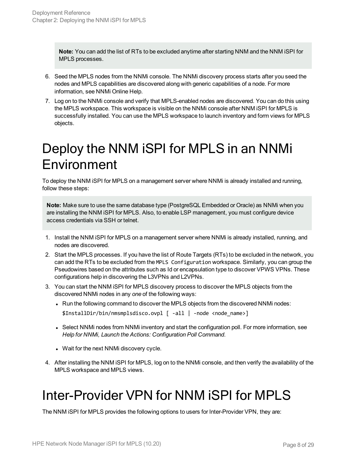**Note:** You can add the list of RTs to be excluded anytime after starting NNM and the NNM iSPI for MPLS processes.

- 6. Seed the MPLS nodes from the NNMi console. The NNMi discovery process starts after you seed the nodes and MPLS capabilities are discovered along with generic capabilities of a node. For more information, see NNMi Online Help.
- 7. Log on to the NNMi console and verify that MPLS-enabled nodes are discovered. You can do this using the MPLS workspace. This workspace is visible on the NNMi console after NNM iSPI for MPLS is successfully installed. You can use the MPLS workspace to launch inventory and form views for MPLS objects.

## <span id="page-7-0"></span>Deploy the NNM iSPI for MPLS in an NNMi Environment

To deploy the NNM iSPI for MPLS on a management server where NNMi is already installed and running, follow these steps:

**Note:** Make sure to use the same database type (PostgreSQL Embedded or Oracle) as NNMi when you are installing the NNM iSPI for MPLS. Also, to enable LSP management, you must configure device access credentials via SSH or telnet.

- 1. Install the NNM iSPI for MPLS on a management server where NNMi is already installed, running, and nodes are discovered.
- 2. Start the MPLS processes. If you have the list of Route Targets (RTs) to be excluded in the network, you can add the RTs to be excluded from the MPLS Configuration workspace. Similarly, you can group the Pseudowires based on the attributes such as Id or encapsulation type to discover VPWS VPNs. These configurations help in discovering the L3VPNs and L2VPNs.
- 3. You can start the NNM iSPI for MPLS discovery process to discover the MPLS objects from the discovered NNMi nodes in any *one* of the following ways:
	- Run the following command to discover the MPLS objects from the discovered NNMi nodes: \$InstallDir/bin/nmsmplsdisco.ovpl [ -all | -node <node\_name>]
	- Select NNMi nodes from NNMi inventory and start the configuration poll. For more information, see *Help for NNMi, Launch the Actions: Configuration Poll Command*.
	- Wait for the next NNMi discovery cycle.
- <span id="page-7-1"></span>4. After installing the NNM iSPI for MPLS, log on to the NNMi console, and then verify the availability of the MPLS workspace and MPLS views.

# Inter-Provider VPN for NNM iSPI for MPLS

The NNM iSPI for MPLS provides the following options to users for Inter-Provider VPN, they are: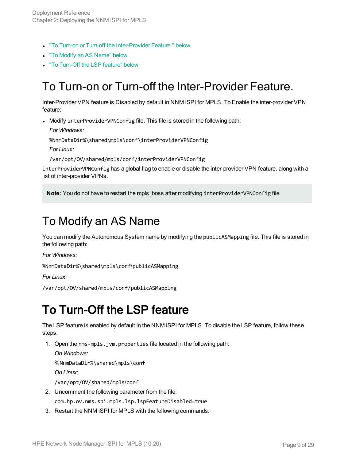- "To Turn-on or Turn-off the [Inter-Provider](#page-8-0) Feature." below
- **"To Modify an AS [Name"](#page-8-1) below**
- <span id="page-8-0"></span>• "To [Turn-Off](#page-8-2) the LSP feature" below

#### To Turn-on or Turn-off the Inter-Provider Feature.

Inter-Provider VPN feature is Disabled by default in NNM iSPI for MPLS. To Enable the inter-provider VPN feature:

• Modify interProviderVPNConfig file. This file is stored in the following path:

```
For Windows:
```
%NnmDataDir%\shared\mpls\conf\interProviderVPNConfig

*For Linux:*

/var/opt/OV/shared/mpls/conf/interProviderVPNConfig

interProviderVPNConfig has a global flag to enable or disable the inter-provider VPN feature, along with a list of inter-provider VPNs.

<span id="page-8-1"></span>**Note:** You do not have to restart the mpls jboss after modifying interProviderVPNConfig file

#### To Modify an AS Name

You can modify the Autonomous System name by modifying the publicASMapping file. This file is stored in the following path:

*For Windows:*

%NnmDataDir%\shared\mpls\conf\publicASMapping

*For Linux:*

<span id="page-8-2"></span>/var/opt/OV/shared/mpls/conf/publicASMapping

#### To Turn-Off the LSP feature

The LSP feature is enabled by default in the NNM iSPI for MPLS. To disable the LSP feature, follow these steps:

1. Open the nms-mpls.jvm.properties file located in the following path:

*On Windows*:

%NnmDataDir%\shared\mpls\conf

*On Linux*:

/var/opt/OV/shared/mpls/conf

- 2. Uncomment the following parameter from the file: com.hp.ov.nms.spi.mpls.lsp.lspFeatureDisabled=true
- 3. Restart the NNM iSPI for MPLS with the following commands: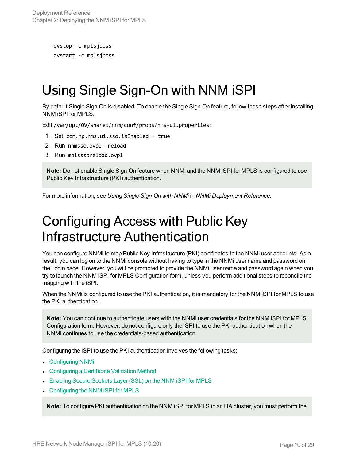```
ovstop -c mplsjboss
ovstart -c mplsjboss
```
## <span id="page-9-0"></span>Using Single Sign-On with NNM iSPI

By default Single Sign-On is disabled. To enable the Single Sign-On feature, follow these steps after installing NNM iSPI for MPLS.

Edit /var/opt/OV/shared/nnm/conf/props/nms-ui.properties:

- 1. Set com.hp.nms.ui.sso.isEnabled = true
- 2. Run nnmsso.ovpl –reload
- 3. Run mplsssoreload.ovpl

**Note:** Do not enable Single Sign-On feature when NNMi and the NNM iSPI for MPLS is configured to use Public Key Infrastructure (PKI) authentication.

<span id="page-9-1"></span>For more information, see *Using Single Sign-On with NNMi* in *NNMi Deployment Reference.*

## Configuring Access with Public Key Infrastructure Authentication

You can configure NNMi to map Public Key Infrastructure (PKI) certificates to the NNMi user accounts. As a result, you can log on to the NNMi console without having to type in the NNMi user name and password on the Login page. However, you will be prompted to provide the NNMi user name and password again when you try to launch the NNM iSPI for MPLS Configuration form, unless you perform additional steps to reconcile the mapping with the iSPI.

When the NNMi is configured to use the PKI authentication, it is mandatory for the NNM iSPI for MPLS to use the PKI authentication.

**Note:** You can continue to authenticate users with the NNMi user credentials for the NNM iSPI for MPLS Configuration form. However, do not configure only the iSPI to use the PKI authentication when the NNMi continues to use the credentials-based authentication.

Configuring the iSPI to use the PKI authentication involves the following tasks:

- [Configuring](#page-10-0) NNMi
- [Configuring](#page-10-1) a Certificate Validation Method
- **[Enabling](#page-10-2) Secure Sockets Layer (SSL) on the NNM iSPI for MPLS**
- [Configuring](#page-10-3) the NNM iSPI for MPLS

**Note:** To configure PKI authentication on the NNM iSPI for MPLS in an HA cluster, you must perform the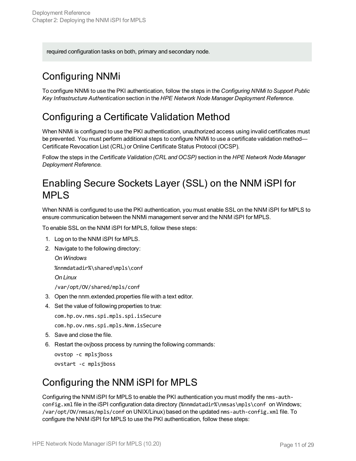<span id="page-10-0"></span>required configuration tasks on both, primary and secondary node.

#### Configuring NNMi

To configure NNMi to use the PKI authentication, follow the steps in the *Configuring NNMi to Support Public Key Infrastructure Authentication* section in the *HPE Network Node Manager Deployment Reference.*

#### <span id="page-10-1"></span>Configuring a Certificate Validation Method

When NNMi is configured to use the PKI authentication, unauthorized access using invalid certificates must be prevented. You must perform additional steps to configure NNMi to use a certificate validation method— Certificate Revocation List (CRL) or Online Certificate Status Protocol (OCSP).

Follow the steps in the *Certificate Validation (CRL and OCSP)* section in the *HPE Network Node Manager Deployment Reference.*

#### <span id="page-10-2"></span>Enabling Secure Sockets Layer (SSL) on the NNM iSPI for MPLS

When NNMi is configured to use the PKI authentication, you must enable SSL on the NNM iSPI for MPLS to ensure communication between the NNMi management server and the NNM iSPI for MPLS.

To enable SSL on the NNM iSPI for MPLS, follow these steps:

- 1. Log on to the NNM iSPI for MPLS.
- 2. Navigate to the following directory:

*On Windows*

%nnmdatadir%\shared\mpls\conf

*On Linux*

/var/opt/OV/shared/mpls/conf

- 3. Open the nnm.extended.properties file with a text editor.
- 4. Set the value of following properties to true:

com.hp.ov.nms.spi.mpls.spi.isSecure

com.hp.ov.nms.spi.mpls.Nnm.isSecure

- 5. Save and close the file.
- 6. Restart the ovjboss process by running the following commands:

ovstop -c mplsjboss ovstart -c mplsjboss

#### <span id="page-10-3"></span>Configuring the NNM iSPI for MPLS

Configuring the NNM iSPI for MPLS to enable the PKI authentication you must modify the nms-authconfig.xml file in the iSPI configuration data directory (%nnmdatadir%\nmsas\mpls\conf on Windows; /var/opt/OV/nmsas/mpls/conf on UNIX/Linux) based on the updated nms-auth-config.xml file. To configure the NNM iSPI for MPLS to use the PKI authentication, follow these steps: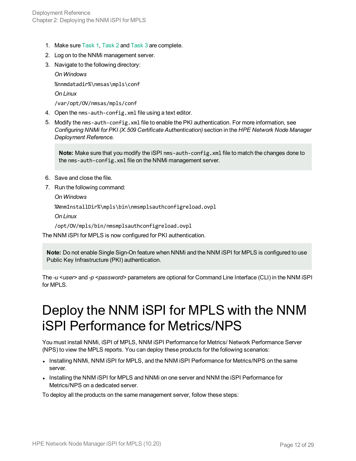- 1. Make sure [Task](#page-10-0) 1, [Task](#page-10-1) 2 and [Task](#page-10-2) 3 are complete.
- 2. Log on to the NNMi management server.
- 3. Navigate to the following directory:

*On Windows*

%nnmdatadir%\nmsas\mpls\conf

*On Linux*

/var/opt/OV/nmsas/mpls/conf

- 4. Open the nms-auth-config.xml file using a text editor.
- 5. Modify the nms-auth-config.xml file to enable the PKI authentication. For more information, see *Configuring NNMi for PKI (X.509 Certificate Authentication)* section in the *HPE Network Node Manager Deployment Reference.*

**Note:** Make sure that you modify the iSPI nms-auth-config.xml file to match the changes done to the nms-auth-config.xml file on the NNMi management server.

- 6. Save and close the file.
- 7. Run the following command:

*On Windows*

%NnmInstallDir%\mpls\bin\nmsmplsauthconfigreload.ovpl

*On Linux*

/opt/OV/mpls/bin/nmsmplsauthconfigreload.ovpl

The NNM iSPI for MPLS is now configured for PKI authentication.

**Note:** Do not enable Single Sign-On feature when NNMi and the NNM iSPI for MPLS is configured to use Public Key Infrastructure (PKI) authentication.

<span id="page-11-0"></span>The *-u <user>* and *-p <password>* parameters are optional for Command Line Interface (CLI) in the NNM iSPI for MPLS.

## Deploy the NNM iSPI for MPLS with the NNM iSPI Performance for Metrics/NPS

You must install NNMi, iSPI of MPLS, NNM iSPI Performance for Metrics/ Network Performance Server (NPS) to view the MPLS reports. You can deploy these products for the following scenarios:

- Installing NNMi, NNM iSPI for MPLS, and the NNM iSPI Performance for Metrics/NPS on the same server.
- Installing the NNM iSPI for MPLS and NNMi on one server and NNM the iSPI Performance for Metrics/NPS on a dedicated server.

To deploy all the products on the same management server, follow these steps: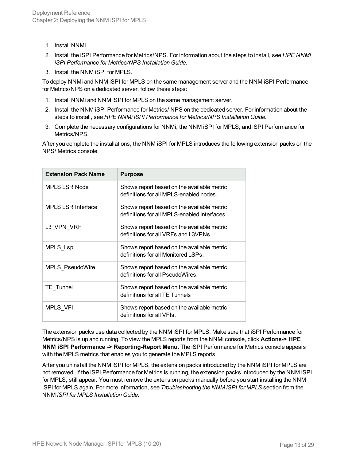- 1. Install NNMi.
- 2. Install the iSPI Performance for Metrics/NPS. For information about the steps to install, see *HPE NNMi iSPI Performance for Metrics/NPS Installation Guide.*
- 3. Install the NNM iSPI for MPLS.

To deploy NNMi and NNM iSPI for MPLS on the same management server and the NNM iSPI Performance for Metrics/NPS on a dedicated server, follow these steps:

- 1. Install NNMi and NNM iSPI for MPLS on the same management server.
- 2. Install the NNM iSPI Performance for Metrics/ NPS on the dedicated server. For information about the steps to install, see *HPE NNMi iSPI Performance for Metrics/NPS Installation Guide.*
- 3. Complete the necessary configurations for NNMi, the NNM iSPI for MPLS, and iSPI Performance for Metrics/NPS.

After you complete the installations, the NNM iSPI for MPLS introduces the following extension packs on the NPS/ Metrics console:

| <b>Extension Pack Name</b> | <b>Purpose</b>                                                                             |
|----------------------------|--------------------------------------------------------------------------------------------|
| <b>MPLS LSR Node</b>       | Shows report based on the available metric<br>definitions for all MPLS-enabled nodes.      |
| <b>MPLS LSR Interface</b>  | Shows report based on the available metric<br>definitions for all MPLS-enabled interfaces. |
| L3 VPN_VRF                 | Shows report based on the available metric<br>definitions for all VRFs and L3VPNs.         |
| MPLS_Lsp                   | Shows report based on the available metric<br>definitions for all Monitored LSPs.          |
| MPLS PseudoWire            | Shows report based on the available metric<br>definitions for all PseudoWires.             |
| <b>TE</b> Tunnel           | Shows report based on the available metric<br>definitions for all TE Tunnels               |
| MPLS VFI                   | Shows report based on the available metric<br>definitions for all VFIs.                    |

The extension packs use data collected by the NNM iSPI for MPLS. Make sure that iSPI Performance for Metrics/NPS is up and running. To view the MPLS reports from the NNMi console, click **Actions-> HPE NNM iSPI Performance -> Reporting-Report Menu.** The iSPI Performance for Metrics console appears with the MPLS metrics that enables you to generate the MPLS reports.

After you uninstall the NNM iSPI for MPLS, the extension packs introduced by the NNM iSPI for MPLS are not removed. If the iSPI Performance for Metrics is running, the extension packs introduced by the NNM iSPI for MPLS, still appear. You must remove the extension packs manually before you start installing the NNM iSPI for MPLS again. For more information, see *Troubleshooting the NNM iSPI for MPLS* section from the NNM *iSPI for MPLS Installation Guide*.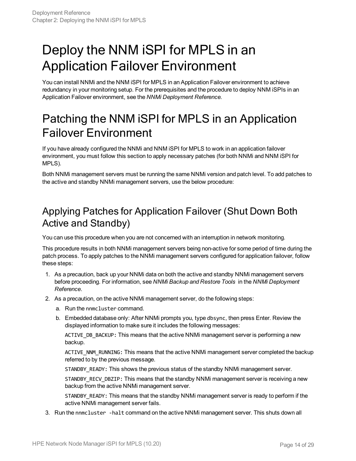# <span id="page-13-0"></span>Deploy the NNM iSPI for MPLS in an Application Failover Environment

You can install NNMi and the NNM iSPI for MPLS in an Application Failover environment to achieve redundancy in your monitoring setup. For the prerequisites and the procedure to deploy NNM iSPIs in an Application Failover environment, see the *NNMi Deployment Reference.*

### <span id="page-13-1"></span>Patching the NNM iSPI for MPLS in an Application Failover Environment

If you have already configured the NNMi and NNM iSPI for MPLS to work in an application failover environment, you must follow this section to apply necessary patches (for both NNMi and NNM iSPI for MPLS).

Both NNMi management servers must be running the same NNMi version and patch level. To add patches to the active and standby NNMi management servers, use the below procedure:

#### <span id="page-13-2"></span>Applying Patches for Application Failover (Shut Down Both Active and Standby)

You can use this procedure when you are not concerned with an interruption in network monitoring.

This procedure results in both NNMi management servers being non-active for some period of time during the patch process. To apply patches to the NNMi management servers configured for application failover, follow these steps:

- 1. As a precaution, back up your NNMi data on both the active and standby NNMi management servers before proceeding. For information, see *NNMi Backup and Restore Tools* in the *NNMi Deployment Reference*.
- 2. As a precaution, on the active NNMi management server, do the following steps:
	- a. Run the nnmcluster command.
	- b. Embedded database only: After NNMi prompts you, type dbsync, then press Enter. Review the displayed information to make sure it includes the following messages:

ACTIVE\_DB\_BACKUP: This means that the active NNMi management server is performing a new backup.

ACTIVE\_NNM\_RUNNING: This means that the active NNMi management server completed the backup referred to by the previous message.

STANDBY READY: This shows the previous status of the standby NNMi management server.

STANDBY\_RECV\_DBZIP: This means that the standby NNMi management server is receiving a new backup from the active NNMi management server.

STANDBY READY: This means that the standby NNMi management server is ready to perform if the active NNMi management server fails.

3. Run the nnmcluster -halt command on the active NNMi management server. This shuts down all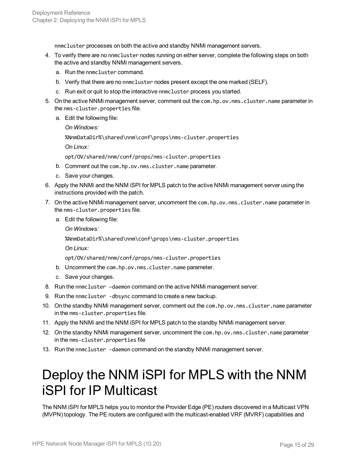nnmcluster processes on both the active and standby NNMi management servers.

- 4. To verify there are no nnmcluster nodes running on either server, complete the following steps on both the active and standby NNMi management servers.
	- a. Run the nnmcluster command.
	- b. Verify that there are no nnmcluster nodes present except the one marked (SELF).
	- c. Run exit or quit to stop the interactive nnmcluster process you started.
- 5. On the active NNMi management server, comment out the com.hp.ov.nms.cluster.name parameter in the nms-cluster.properties file.
	- a. Edit the following file:

*On Windows:*

%NnmDataDir%\shared\nnm\conf\props\nms-cluster.properties

*On Linux:*

opt/OV/shared/nnm/conf/props/nms-cluster.properties

- b. Comment out the com.hp.ov.nms.cluster.name parameter.
- c. Save your changes.
- 6. Apply the NNMi and the NNM iSPI for MPLS patch to the active NNMi management server using the instructions provided with the patch.
- 7. On the active NNMi management server, uncomment the com.hp.ov.nms.cluster.name parameter in the nms-cluster.properties file.
	- a. Edit the following file:

*On Windows:*

%NnmDataDir%\shared\nnm\conf\props\nms-cluster.properties

*On Linux:*

opt/OV/shared/nnm/conf/props/nms-cluster.properties

- b. Uncomment the com.hp.ov.nms.cluster.name parameter.
- c. Save your changes.
- 8. Run the nnmcluster –daemon command on the active NNMi management server.
- 9. Run the nnmcluster -dbsync command to create a new backup.
- 10. On the standby NNMi management server, comment out the com.hp.ov.nms.cluster.name parameter in the nms-cluster.properties file.
- 11. Apply the NNMi and the NNM iSPI for MPLS patch to the standby NNMi management server.
- 12. On the standby NNMi management server, uncomment the com.hp.ov.nms.cluster.name parameter in the nms-cluster.properties file
- <span id="page-14-0"></span>13. Run the nnmcluster -daemon command on the standby NNMi management server.

## Deploy the NNM iSPI for MPLS with the NNM iSPI for IP Multicast

The NNM iSPI for MPLS helps you to monitor the Provider Edge (PE) routers discovered in a Multicast VPN (MVPN) topology. The PE routers are configured with the multicast-enabled VRF (MVRF) capabilities and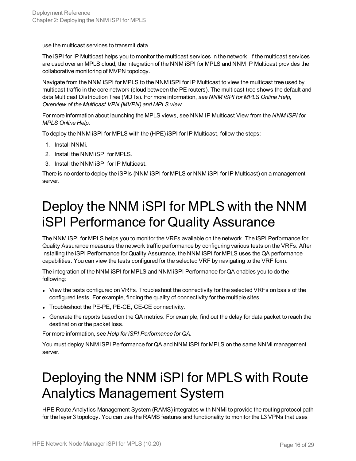use the multicast services to transmit data.

The iSPI for IP Multicast helps you to monitor the multicast services in the network. If the multicast services are used over an MPLS cloud, the integration of the NNM iSPI for MPLS and NNM IP Multicast provides the collaborative monitoring of MVPN topology.

Navigate from the NNM iSPI for MPLS to the NNM iSPI for IP Multicast to view the multicast tree used by multicast traffic in the core network (cloud between the PE routers). The multicast tree shows the default and data Multicast Distribution Tree (MDTs). For more information, *see NNM iSPI for MPLS Online Help, Overview of the Multicast VPN (MVPN) and MPLS view.*

For more information about launching the MPLS views, see NNM IP Multicast View from the *NNM iSPI for MPLS Online Help*.

To deploy the NNM iSPI for MPLS with the (HPE) iSPI for IP Multicast, follow the steps:

- 1. Install NNMi.
- 2. Install the NNM iSPI for MPLS.
- 3. Install the NNM iSPI for IP Multicast.

<span id="page-15-0"></span>There is no order to deploy the iSPIs (NNM iSPI for MPLS or NNM iSPI for IP Multicast) on a management server.

## Deploy the NNM iSPI for MPLS with the NNM iSPI Performance for Quality Assurance

The NNM iSPI for MPLS helps you to monitor the VRFs available on the network. The iSPI Performance for Quality Assurance measures the network traffic performance by configuring various tests on the VRFs. After installing the iSPI Performance for Quality Assurance, the NNM iSPI for MPLS uses the QA performance capabilities. You can view the tests configured for the selected VRF by navigating to the VRF form.

The integration of the NNM iSPI for MPLS and NNM iSPI Performance for QA enables you to do the following:

- View the tests configured on VRFs. Troubleshoot the connectivity for the selected VRFs on basis of the configured tests. For example, finding the quality of connectivity for the multiple sites.
- Troubleshoot the PE-PE, PE-CE, CE-CE connectivity.
- Generate the reports based on the QA metrics. For example, find out the delay for data packet to reach the destination or the packet loss.

For more information, see *Help for iSPI Performance for QA.*

<span id="page-15-1"></span>You must deploy NNM iSPI Performance for QA and NNM iSPI for MPLS on the same NNMi management server.

## Deploying the NNM iSPI for MPLS with Route Analytics Management System

HPE Route Analytics Management System (RAMS) integrates with NNMi to provide the routing protocol path for the layer 3 topology. You can use the RAMS features and functionality to monitor the L3 VPNs that uses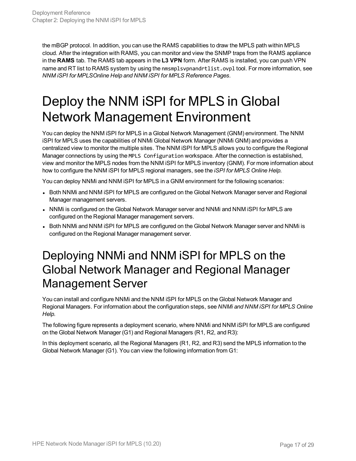the mBGP protocol. In addition, you can use the RAMS capabilities to draw the MPLS path within MPLS cloud. After the integration with RAMS, you can monitor and view the SNMP traps from the RAMS appliance in the **RAMS** tab. The RAMS tab appears in the **L3 VPN** form. After RAMS is installed, you can push VPN name and RT list to RAMS system by using the nmsmplsvpnandrtlist.ovpl tool. For more information, see *NNM iSPI for MPLSOnline Help and NNM iSPI for MPLS Reference Pages.*

# <span id="page-16-0"></span>Deploy the NNM iSPI for MPLS in Global Network Management Environment

You can deploy the NNM iSPI for MPLS in a Global Network Management (GNM) environment. The NNM iSPI for MPLS uses the capabilities of NNMi Global Network Manager (NNMi GNM) and provides a centralized view to monitor the multiple sites. The NNM iSPI for MPLS allows you to configure the Regional Manager connections by using the MPLS Configuration workspace. After the connection is established, view and monitor the MPLS nodes from the NNM iSPI for MPLS inventory (GNM). For more information about how to configure the NNM iSPI for MPLS regional managers, see the *iSPI for MPLS Online Help.*

You can deploy NNMi and NNM iSPI for MPLS in a GNM environment for the following scenarios:

- Both NNMi and NNM iSPI for MPLS are configured on the Global Network Manager server and Regional Manager management servers.
- NNMi is configured on the Global Network Manager server and NNMi and NNM iSPI for MPLS are configured on the Regional Manager management servers.
- <span id="page-16-1"></span>• Both NNMi and NNM iSPI for MPLS are configured on the Global Network Manager server and NNMi is configured on the Regional Manager management server.

### Deploying NNMi and NNM iSPI for MPLS on the Global Network Manager and Regional Manager Management Server

You can install and configure NNMi and the NNM iSPI for MPLS on the Global Network Manager and Regional Managers. For information about the configuration steps, see *NNMi and NNM iSPI for MPLS Online Help.*

The following figure represents a deployment scenario, where NNMi and NNM iSPI for MPLS are configured on the Global Network Manager (G1) and Regional Managers (R1, R2, and R3):

In this deployment scenario, all the Regional Managers (R1, R2, and R3) send the MPLS information to the Global Network Manager (G1). You can view the following information from G1: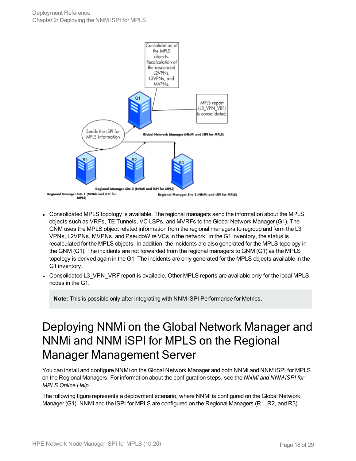

- Consolidated MPLS topology is available. The regional managers send the information about the MPLS objects such as VRFs, TE Tunnels, VC LSPs, and MVRFs to the Global Network Manager (G1). The GNM uses the MPLS object related information from the regional managers to regroup and form the L3 VPNs, L2VPNs, MVPNs, and PseudoWire VCs in the network. In the G1 inventory, the status is recalculated for the MPLS objects. In addition, the incidents are also generated for the MPLS topology in the GNM (G1). The incidents are not forwarded from the regional managers to GNM (G1) as the MPLS topology is derived again in the G1. The incidents are only generated for the MPLS objects available in the G1 inventory.
- Consolidated L3\_VPN\_VRF report is available. Other MPLS reports are available only for the local MPLS nodes in the G1.

**Note:** This is possible only after integrating with NNM iSPI Performance for Metrics.

### <span id="page-17-0"></span>Deploying NNMi on the Global Network Manager and NNMi and NNM iSPI for MPLS on the Regional Manager Management Server

You can install and configure NNMi on the Global Network Manager and both NNMi and NNM iSPI for MPLS on the Regional Managers. For information about the configuration steps, see the *NNMi and NNM iSPI for MPLS Online Help.*

The following figure represents a deployment scenario, where NNMi is configured on the Global Network Manager (G1). NNMi and the iSPI for MPLS are configured on the Regional Managers (R1, R2, and R3):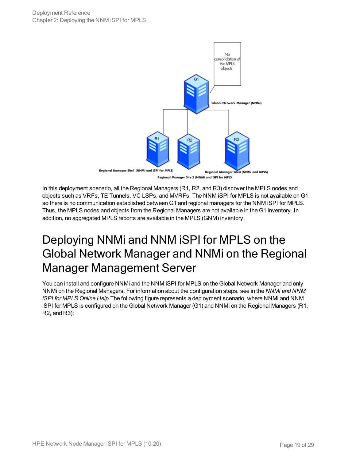

In this deployment scenario, all the Regional Managers (R1, R2, and R3) discover the MPLS nodes and objects such as VRFs, TE Tunnels, VC LSPs, and MVRFs. The NNM iSPI for MPLS is not available on G1 so there is no communication established between G1 and regional managers for the NNM iSPI for MPLS. Thus, the MPLS nodes and objects from the Regional Managers are not available in the G1 inventory. In addition, no aggregated MPLS reports are available in the MPLS (GNM) inventory.

### <span id="page-18-0"></span>Deploying NNMi and NNM iSPI for MPLS on the Global Network Manager and NNMi on the Regional Manager Management Server

You can install and configure NNMi and the NNM iSPI for MPLS on the Global Network Manager and only NNMi on the Regional Managers. For information about the configuration steps, see in the *NNMi and NNM iSPI for MPLS Online Help.*The following figure represents a deployment scenario, where NNMi and NNM iSPI for MPLS is configured on the Global Network Manager (G1) and NNMi on the Regional Managers (R1, R2, and R3):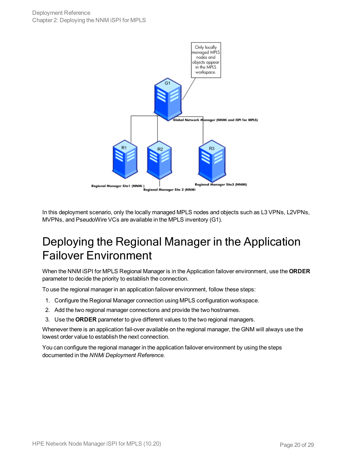

<span id="page-19-0"></span>In this deployment scenario, only the locally managed MPLS nodes and objects such as L3 VPNs, L2VPNs, MVPNs, and PseudoWire VCs are available in the MPLS inventory (G1).

### Deploying the Regional Manager in the Application Failover Environment

When the NNM iSPI for MPLS Regional Manager is in the Application failover environment, use the **ORDER** parameter to decide the priority to establish the connection.

To use the regional manager in an application failover environment, follow these steps:

- 1. Configure the Regional Manager connection using MPLS configuration workspace.
- 2. Add the two regional manager connections and provide the two hostnames.
- 3. Use the **ORDER** parameter to give different values to the two regional managers.

Whenever there is an application fail-over available on the regional manager, the GNM will always use the lowest order value to establish the next connection.

You can configure the regional manager in the application failover environment by using the steps documented in the *NNMi Deployment Reference.*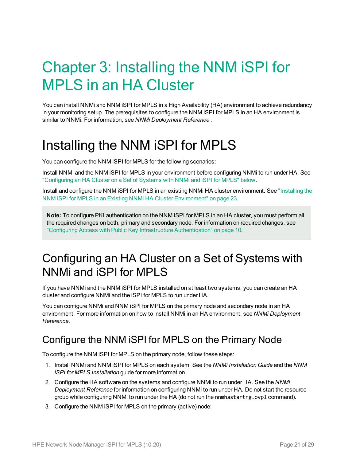# <span id="page-20-0"></span>Chapter 3: Installing the NNM iSPI for MPLS in an HA Cluster

You can install NNMi and NNM iSPI for MPLS in a High Availability (HA) environment to achieve redundancy in your monitoring setup. The prerequisites to configure the NNM iSPI for MPLS in an HA environment is similar to NNMi. For information, see *NNMi Deployment Reference .*

# <span id="page-20-1"></span>Installing the NNM iSPI for MPLS

You can configure the NNM iSPI for MPLS for the following scenarios:

Install NNMi and the NNM iSPI for MPLS in your environment before configuring NNMi to run under HA. See ["Configuring](#page-20-2) an HA Cluster on a Set of Systems with NNMi and iSPI for MPLS" below.

Install and configure the NNM iSPI for MPLS in an existing NNMi HA cluster environment. See ["Installing](#page-22-0) the NNM iSPI for MPLS in an Existing NNMi HA Cluster [Environment"](#page-22-0) on page 23.

**Note:** To configure PKI authentication on the NNM iSPI for MPLS in an HA cluster, you must perform all the required changes on both, primary and secondary node. For information on required changes, see "Configuring Access with Public Key Infrastructure [Authentication"](#page-9-1) on page 10.

### <span id="page-20-2"></span>Configuring an HA Cluster on a Set of Systems with NNMi and iSPI for MPLS

If you have NNMi and the NNM iSPI for MPLS installed on at least two systems, you can create an HA cluster and configure NNMi and the iSPI for MPLS to run under HA.

You can configure NNMi and NNM iSPI for MPLS on the primary node and secondary node in an HA environment. For more information on how to install NNMi in an HA environment, see *NNMi Deployment Reference*.

#### <span id="page-20-3"></span>Configure the NNM iSPI for MPLS on the Primary Node

To configure the NNM iSPI for MPLS on the primary node, follow these steps:

- 1. Install NNMi and NNM iSPI for MPLS on each system. See the *NNMi Installation Guide* and the *NNM iSPI for MPLS Installation* guide for more information.
- 2. Configure the HA software on the systems and configure NNMi to run under HA. See the *NNMi Deployment Reference* for information on configuring NNMi to run under HA. Do not start the resource group while configuring NNMi to run under the HA (do not run the nnmhastartrg.ovpl command).
- 3. Configure the NNM iSPI for MPLS on the primary (active) node: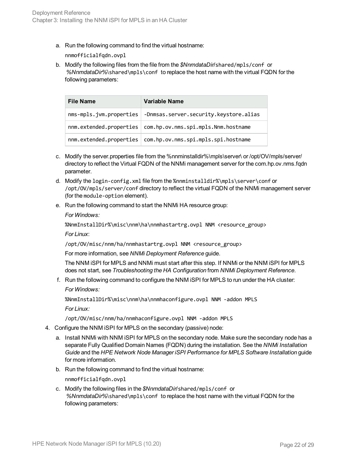a. Run the following command to find the virtual hostname:

nnmofficialfqdn.ovpl

b. Modify the following files from the file from the *\$NnmdataDir*/shared/mpls/conf or *%NnmdataDir%*\shared\mpls\conf to replace the host name with the virtual FQDN for the following parameters:

| <b>File Name</b>        | Variable Name                          |
|-------------------------|----------------------------------------|
| nms-mpls.jvm.properties | -Dnmsas.server.security.keystore.alias |
| nnm.extended.properties | com.hp.ov.nms.spi.mpls.Nnm.hostname    |
| nnm.extended.properties | com.hp.ov.nms.spi.mpls.spi.hostname    |

- c. Modify the server.properties file from the %nnminstalldir%\mpls\server\ or /opt/OV/mpls/server/ directory to reflect the Virtual FQDN of the NNMi management server for the com.hp.ov.nms.fqdn parameter.
- d. Modify the login-config.xml file from the %nnminstalldir%\mpls\server\conf or /opt/OV/mpls/server/conf directory to reflect the virtual FQDN of the NNMi management server (for the module-option element).
- e. Run the following command to start the NNMi HA resource group:

*For Windows:*

%NnmInstallDir%\misc\nnm\ha\nnmhastartrg.ovpl NNM <resource\_group>

*For Linux*:

/opt/OV/misc/nnm/ha/nnmhastartrg.ovpl NNM <resource\_group>

For more information, see *NNMi Deployment Reference* guide.

The NNM iSPI for MPLS and NNMi must start after this step. If NNMi or the NNM iSPI for MPLS does not start, see *Troubleshooting the HA Configuration* from *NNMi Deployment Reference*.

f. Run the following command to configure the NNM iSPI for MPLS to run under the HA cluster: *For Windows:*

%NnmInstallDir%\misc\nnm\ha\nnmhaconfigure.ovpl NNM -addon MPLS *For Linux:*

<span id="page-21-0"></span>/opt/OV/misc/nnm/ha/nnmhaconfigure.ovpl NNM -addon MPLS

- 4. Configure the NNM iSPI for MPLS on the secondary (passive) node:
	- a. Install NNMi with NNM iSPI for MPLS on the secondary node. Make sure the secondary node has a separate Fully Qualified Domain Names (FQDN) during the installation. See the *NNMi Installation Guide* and the *HPE Network Node Manager iSPI Performance for MPLS Software Installation* guide for more information.
	- b. Run the following command to find the virtual hostname:

nnmofficialfqdn.ovpl

c. Modify the following files in the *\$NnmdataDir*/shared/mpls/conf or *%NnmdataDir%*\shared\mpls\conf to replace the host name with the virtual FQDN for the following parameters: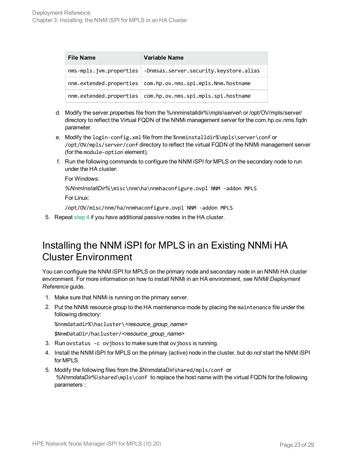| <b>File Name</b>        | Variable Name                                                 |
|-------------------------|---------------------------------------------------------------|
| nms-mpls.jvm.properties | -Dnmsas.server.security.keystore.alias                        |
|                         | nnm.extended.properties   com.hp.ov.nms.spi.mpls.Nnm.hostname |
| nnm.extended.properties | com.hp.ov.nms.spi.mpls.spi.hostname                           |

- d. Modify the server.properties file from the %nnminstalldir%\mpls\server\ or /opt/OV/mpls/server/ directory to reflect the Virtual FQDN of the NNMi management server for the com.hp.ov.nms.fqdn parameter.
- e. Modify the login-config.xml file from the %nnminstalldir%\mpls\server\conf or /opt/OV/mpls/server/conf directory to reflect the virtual FQDN of the NNMi management server (for the module-option element).
- f. Run the following commands to configure the NNM iSPI for MPLS on the secondary node to run under the HA cluster:

For Windows:

*%NnmInstallDir%*\misc\nnm\ha\nnmhaconfigure.ovpl NNM -addon MPLS

For Linux:

/opt/OV/misc/nnm/ha/nnmhaconfigure.ovpl NNM -addon MPLS

<span id="page-22-0"></span>5. Repeat [step 4](#page-21-0) if you have additional passive nodes in the HA cluster.

#### Installing the NNM iSPI for MPLS in an Existing NNMi HA Cluster Environment

You can configure the NNM iSPI for MPLS on the primary node and secondary node in an NNMi HA cluster environment. For more information on how to install NNMi in an HA environment, see *NNMi Deployment Reference* guide.

- <span id="page-22-1"></span>1. Make sure that NNMi is running on the primary server.
- 2. Put the NNMi resource group to the HA maintenance mode by placing the maintenance file under the following directory:

%nnmdatadir%\hacluster\<resource\_group\_name>

\$NnmDataDir/hacluster/<resource\_group\_name>

- 3. Run ovstatus -c ovjboss to make sure that ovjboss is running.
- 4. Install the NNM iSPI for MPLS on the primary (active) node in the cluster, but do *not* start the NNM iSPI for MPLS.
- 5. Modify the following files from the *\$NnmdataDir*/shared/mpls/conf or *%NnmdataDir%*\shared\mpls\conf to replace the host name with the virtual FQDN for the following parameters :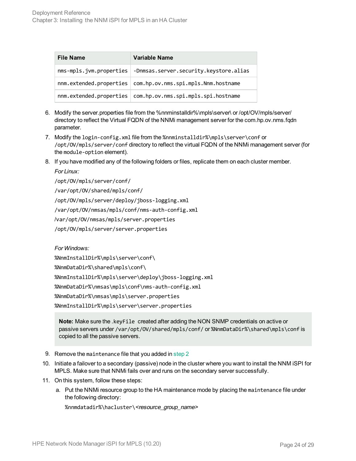| <b>File Name</b>        | Variable Name                                                 |
|-------------------------|---------------------------------------------------------------|
| nms-mpls.jvm.properties | -Dnmsas.server.security.keystore.alias                        |
|                         | nnm.extended.properties   com.hp.ov.nms.spi.mpls.Nnm.hostname |
| nnm.extended.properties | com.hp.ov.nms.spi.mpls.spi.hostname                           |

- 6. Modify the server.properties file from the %nnminstalldir%\mpls\server\ or /opt/OV/mpls/server/ directory to reflect the Virtual FQDN of the NNMi management server for the com.hp.ov.nms.fqdn parameter.
- 7. Modify the login-config.xml file from the %nnminstalldir%\mpls\server\conf or /opt/OV/mpls/server/conf directory to reflect the virtual FQDN of the NNMi management server (for the module-option element).
- 8. If you have modified any of the following folders or files, replicate them on each cluster member.

*For Linux:*

/opt/OV/mpls/server/conf/

/var/opt/OV/shared/mpls/conf/

/opt/OV/mpls/server/deploy/jboss-logging.xml

/var/opt/OV/nmsas/mpls/conf/nms-auth-config.xml

/var/opt/OV/nmsas/mpls/server.properties

/opt/OV/mpls/server/server.properties

*For Windows:*

%NnmInstallDir%\mpls\server\conf\

%NnmDataDir%\shared\mpls\conf\

%NnmInstallDir%\mpls\server\deploy\jboss-logging.xml

%NnmDataDir%\nmsas\mpls\conf\nms-auth-config.xml

%NnmDataDir%\nmsas\mpls\server.properties

%NnmInstallDir%\mpls\server\server.properties

**Note:** Make sure the .keyFile created after adding the NON SNMP credentials on active or passive servers under /var/opt/OV/shared/mpls/conf/ or %NnmDataDir%\shared\mpls\conf is copied to all the passive servers.

- 9. Remove the maintenance file that you added in [step 2](#page-22-1)
- 10. Initiate a failover to a secondary (passive) node in the cluster where you want to install the NNM iSPI for MPLS. Make sure that NNMi fails over and runs on the secondary server successfully.
- <span id="page-23-0"></span>11. On this system, follow these steps:
	- a. Put the NNMi resource group to the HA maintenance mode by placing the maintenance file under the following directory:

%nnmdatadir%\hacluster\<resource\_group\_name>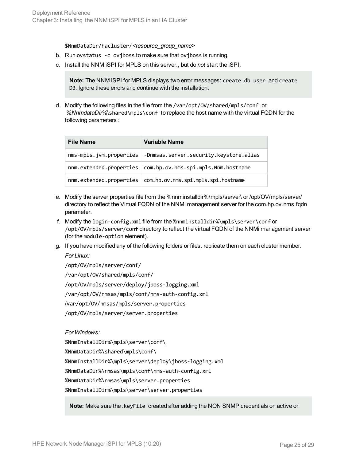\$NnmDataDir/hacluster/<resource group name>

- b. Run ovstatus -c oviboss to make sure that oviboss is running.
- c. Install the NNM iSPI for MPLS on this server., but do *not* start the iSPI.

**Note:** The NNM iSPI for MPLS displays two error messages: create db user and create DB. Ignore these errors and continue with the installation.

d. Modify the following files in the file from the /var/opt/OV/shared/mpls/conf or *%NnmdataDir%*\shared\mpls\conf to replace the host name with the virtual FQDN for the following parameters :

| <b>File Name</b>        | Variable Name                                                    |
|-------------------------|------------------------------------------------------------------|
|                         | nms-mpls.jvm.properties   -Dnmsas.server.security.keystore.alias |
|                         | nnm.extended.properties   com.hp.ov.nms.spi.mpls.Nnm.hostname    |
| nnm.extended.properties | com.hp.ov.nms.spi.mpls.spi.hostname                              |

- e. Modify the server.properties file from the %nnminstalldir%\mpls\server\ or /opt/OV/mpls/server/ directory to reflect the Virtual FQDN of the NNMi management server for the com.hp.ov.nms.fqdn parameter.
- f. Modify the login-config.xml file from the %nnminstalldir%\mpls\server\conf or /opt/OV/mpls/server/conf directory to reflect the virtual FQDN of the NNMi management server (for the module-option element).
- g. If you have modified any of the following folders or files, replicate them on each cluster member. *For Linux:*

/opt/OV/mpls/server/conf/

/var/opt/OV/shared/mpls/conf/ /opt/OV/mpls/server/deploy/jboss-logging.xml /var/opt/OV/nmsas/mpls/conf/nms-auth-config.xml /var/opt/OV/nmsas/mpls/server.properties /opt/OV/mpls/server/server.properties

*For Windows:*

%NnmInstallDir%\mpls\server\conf\ %NnmDataDir%\shared\mpls\conf\ %NnmInstallDir%\mpls\server\deploy\jboss-logging.xml %NnmDataDir%\nmsas\mpls\conf\nms-auth-config.xml %NnmDataDir%\nmsas\mpls\server.properties %NnmInstallDir%\mpls\server\server.properties

**Note:** Make sure the .keyFile created after adding the NON SNMP credentials on active or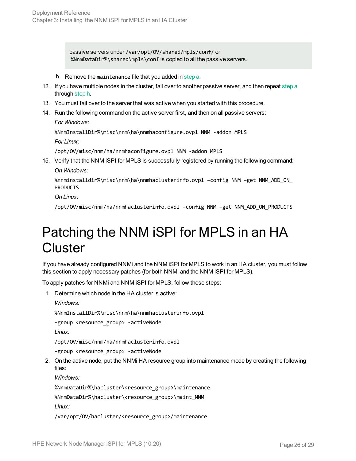passive servers under /var/opt/OV/shared/mpls/conf/ or %NnmDataDir%\shared\mpls\conf is copied to all the passive servers.

<span id="page-25-1"></span>h. Remove the maintenance file that you added in [step a.](#page-23-0)

- 12. If you have multiple nodes in the cluster, fail over to another passive server, and then repeat [step a](#page-23-0) through [step h](#page-25-1).
- 13. You must fail over to the server that was active when you started with this procedure.
- 14. Run the following command on the active server first, and then on all passive servers: *For Windows:*

%NnmInstallDir%\misc\nnm\ha\nnmhaconfigure.ovpl NNM -addon MPLS

*For Linux:*

/opt/OV/misc/nnm/ha/nnmhaconfigure.ovpl NNM -addon MPLS

15. Verify that the NNM iSPI for MPLS is successfully registered by running the following command: *On Windows:*

%nnminstalldir%\misc\nnm\ha\nnmhaclusterinfo.ovpl –config NNM –get NNM\_ADD\_ON\_ PRODUCTS

*On Linux:*

<span id="page-25-0"></span>/opt/OV/misc/nnm/ha/nnmhaclusterinfo.ovpl –config NNM –get NNM\_ADD\_ON\_PRODUCTS

## Patching the NNM iSPI for MPLS in an HA **Cluster**

If you have already configured NNMi and the NNM iSPI for MPLS to work in an HA cluster, you must follow this section to apply necessary patches (for both NNMi and the NNM iSPI for MPLS).

To apply patches for NNMi and NNM iSPI for MPLS, follow these steps:

1. Determine which node in the HA cluster is active:

*Windows:*

%NnmInstallDir%\misc\nnm\ha\nnmhaclusterinfo.ovpl

-group <resource\_group> -activeNode

*Linux:*

/opt/OV/misc/nnm/ha/nnmhaclusterinfo.ovpl

-group <resource\_group> -activeNode

2. On the active node, put the NNMi HA resource group into maintenance mode by creating the following files:

*Windows:*

%NnmDataDir%\hacluster\<resource\_group>\maintenance

%NnmDataDir%\hacluster\<resource\_group>\maint\_NNM

*Linux:*

/var/opt/OV/hacluster/<resource\_group>/maintenance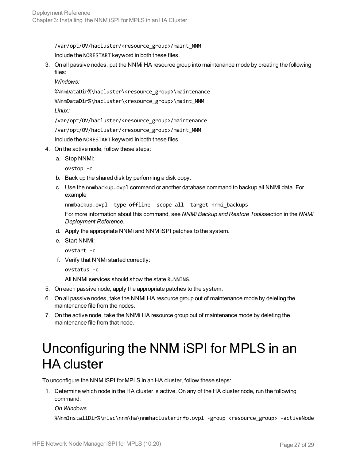/var/opt/OV/hacluster/<resource\_group>/maint\_NNM Include the NORESTART keyword in both these files.

3. On all passive nodes, put the NNMi HA resource group into maintenance mode by creating the following files:

*Windows:*

%NnmDataDir%\hacluster\<resource\_group>\maintenance

%NnmDataDir%\hacluster\<resource\_group>\maint\_NNM

*Linux:*

/var/opt/OV/hacluster/<resource\_group>/maintenance

/var/opt/OV/hacluster/<resource\_group>/maint\_NNM

Include the NORESTART keyword in both these files.

- 4. On the active node, follow these steps:
	- a. Stop NNMi:

ovstop -c

- b. Back up the shared disk by performing a disk copy.
- c. Use the nnmbackup.ovpl command or another database command to backup all NNMi data. For example

```
nnmbackup.ovpl -type offline -scope all -target nnmi_backups
```
For more information about this command, see *NNMi Backup and Restore Tools*section in the *NNMi Deployment Reference*.

- d. Apply the appropriate NNMi and NNM iSPI patches to the system.
- e. Start NNMi:
	- ovstart -c
- f. Verify that NNMi started correctly:

```
ovstatus -c
```
All NNMi services should show the state RUNNING.

- 5. On each passive node, apply the appropriate patches to the system.
- 6. On all passive nodes, take the NNMi HA resource group out of maintenance mode by deleting the maintenance file from the nodes.
- <span id="page-26-0"></span>7. On the active node, take the NNMi HA resource group out of maintenance mode by deleting the maintenance file from that node.

## Unconfiguring the NNM iSPI for MPLS in an HA cluster

To unconfigure the NNM iSPI for MPLS in an HA cluster, follow these steps:

1. Determine which node in the HA cluster is active. On any of the HA cluster node, run the following command:

#### *On Windows*

%NnmInstallDir%\misc\nnm\ha\nnmhaclusterinfo.ovpl -group <resource\_group> -activeNode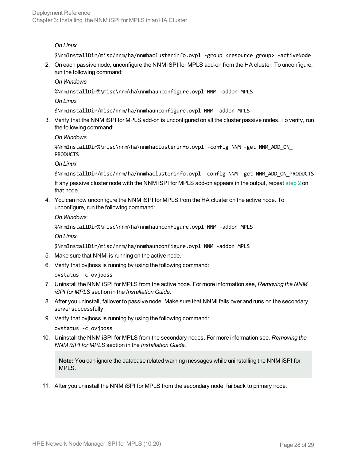#### *On Linux*

<span id="page-27-0"></span>\$NnmInstallDir/misc/nnm/ha/nnmhaclusterinfo.ovpl -group <resource\_group> -activeNode

2. On each passive node, unconfigure the NNM iSPI for MPLS add-on from the HA cluster. To unconfigure, run the following command:

*On Windows*

%NnmInstallDir%\misc\nnm\ha\nnmhaunconfigure.ovpl NNM -addon MPLS

*On Linux*

\$NnmInstallDir/misc/nnm/ha/nnmhaunconfigure.ovpl NNM -addon MPLS

3. Verify that the NNM iSPI for MPLS add-on is unconfigured on all the cluster passive nodes. To verify, run the following command:

*On Windows*

```
%NnmInstallDir%\misc\nnm\ha\nnmhaclusterinfo.ovpl -config NNM -get NNM_ADD_ON_
PRODUCTS
```
*On Linux*

\$NnmInstallDir/misc/nnm/ha/nnmhaclusterinfo.ovpl -config NNM -get NNM\_ADD\_ON\_PRODUCTS

If any passive cluster node with the NNM iSPI for MPLS add-on appears in the output, repeat [step 2](#page-27-0) on that node.

4. You can now unconfigure the NNM iSPI for MPLS from the HA cluster on the active node. To unconfigure, run the following command:

*On Windows*

%NnmInstallDir%\misc\nnm\ha\nnmhaunconfigure.ovpl NNM -addon MPLS

*On Linux*

\$NnmInstallDir/misc/nnm/ha/nnmhaunconfigure.ovpl NNM -addon MPLS

- 5. Make sure that NNMi is running on the active node.
- 6. Verify that ovjboss is running by using the following command:

ovstatus -c ovjboss

- 7. Uninstall the NNM iSPI for MPLS from the active node. For more information see, *Removing the NNM iSPI for MPLS* section in the *Installation Guide*.
- 8. After you uninstall, failover to passive node. Make sure that NNMi fails over and runs on the secondary server successfully.
- 9. Verify that ovjboss is running by using the following command:

ovstatus -c ovjboss

10. Uninstall the NNM iSPI for MPLS from the secondary nodes. For more information see, *Removing the NNM iSPI for MPLS* section in the *Installation Guide*.

**Note:** You can ignore the database related warning messages while uninstalling the NNM iSPI for MPLS.

11. After you uninstall the NNM iSPI for MPLS from the secondary node, failback to primary node.